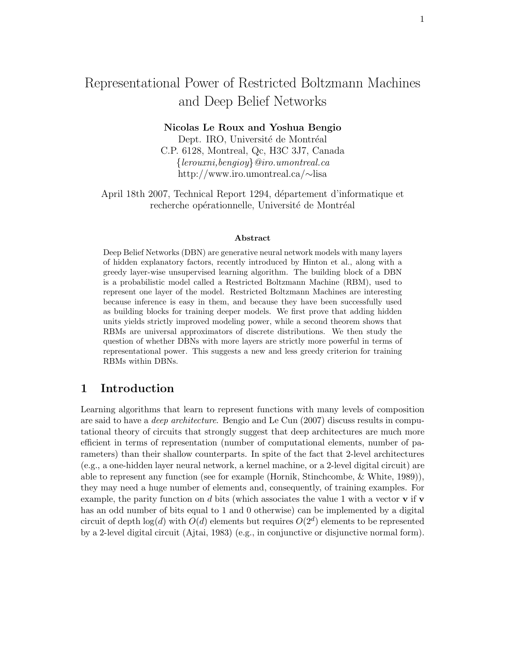# Representational Power of Restricted Boltzmann Machines and Deep Belief Networks

# Nicolas Le Roux and Yoshua Bengio

Dept. IRO, Université de Montréal C.P. 6128, Montreal, Qc, H3C 3J7, Canada {lerouxni,bengioy}@iro.umontreal.ca http://www.iro.umontreal.ca/∼lisa

April 18th 2007, Technical Report 1294, département d'informatique et recherche opérationnelle, Université de Montréal

#### Abstract

Deep Belief Networks (DBN) are generative neural network models with many layers of hidden explanatory factors, recently introduced by Hinton et al., along with a greedy layer-wise unsupervised learning algorithm. The building block of a DBN is a probabilistic model called a Restricted Boltzmann Machine (RBM), used to represent one layer of the model. Restricted Boltzmann Machines are interesting because inference is easy in them, and because they have been successfully used as building blocks for training deeper models. We first prove that adding hidden units yields strictly improved modeling power, while a second theorem shows that RBMs are universal approximators of discrete distributions. We then study the question of whether DBNs with more layers are strictly more powerful in terms of representational power. This suggests a new and less greedy criterion for training RBMs within DBNs.

# 1 Introduction

Learning algorithms that learn to represent functions with many levels of composition are said to have a deep architecture. Bengio and Le Cun (2007) discuss results in computational theory of circuits that strongly suggest that deep architectures are much more efficient in terms of representation (number of computational elements, number of parameters) than their shallow counterparts. In spite of the fact that 2-level architectures (e.g., a one-hidden layer neural network, a kernel machine, or a 2-level digital circuit) are able to represent any function (see for example (Hornik, Stinchcombe, & White, 1989)), they may need a huge number of elements and, consequently, of training examples. For example, the parity function on d bits (which associates the value 1 with a vector  $\bf{v}$  if  $\bf{v}$ has an odd number of bits equal to 1 and 0 otherwise) can be implemented by a digital circuit of depth  $log(d)$  with  $O(d)$  elements but requires  $O(2<sup>d</sup>)$  elements to be represented by a 2-level digital circuit (Ajtai, 1983) (e.g., in conjunctive or disjunctive normal form).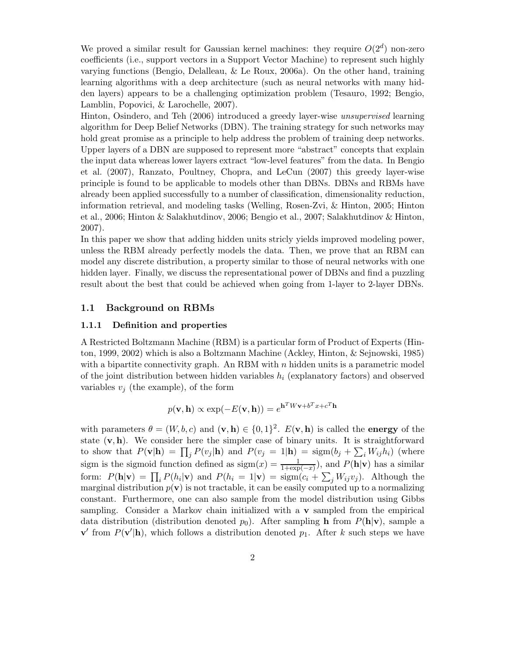We proved a similar result for Gaussian kernel machines: they require  $O(2<sup>d</sup>)$  non-zero coefficients (i.e., support vectors in a Support Vector Machine) to represent such highly varying functions (Bengio, Delalleau, & Le Roux, 2006a). On the other hand, training learning algorithms with a deep architecture (such as neural networks with many hidden layers) appears to be a challenging optimization problem (Tesauro, 1992; Bengio, Lamblin, Popovici, & Larochelle, 2007).

Hinton, Osindero, and Teh (2006) introduced a greedy layer-wise unsupervised learning algorithm for Deep Belief Networks (DBN). The training strategy for such networks may hold great promise as a principle to help address the problem of training deep networks. Upper layers of a DBN are supposed to represent more "abstract" concepts that explain the input data whereas lower layers extract "low-level features" from the data. In Bengio et al. (2007), Ranzato, Poultney, Chopra, and LeCun (2007) this greedy layer-wise principle is found to be applicable to models other than DBNs. DBNs and RBMs have already been applied successfully to a number of classification, dimensionality reduction, information retrieval, and modeling tasks (Welling, Rosen-Zvi, & Hinton, 2005; Hinton et al., 2006; Hinton & Salakhutdinov, 2006; Bengio et al., 2007; Salakhutdinov & Hinton, 2007).

In this paper we show that adding hidden units stricly yields improved modeling power, unless the RBM already perfectly models the data. Then, we prove that an RBM can model any discrete distribution, a property similar to those of neural networks with one hidden layer. Finally, we discuss the representational power of DBNs and find a puzzling result about the best that could be achieved when going from 1-layer to 2-layer DBNs.

# 1.1 Background on RBMs

#### 1.1.1 Definition and properties

A Restricted Boltzmann Machine (RBM) is a particular form of Product of Experts (Hinton, 1999, 2002) which is also a Boltzmann Machine (Ackley, Hinton, & Sejnowski, 1985) with a bipartite connectivity graph. An RBM with  $n$  hidden units is a parametric model of the joint distribution between hidden variables  $h_i$  (explanatory factors) and observed variables  $v_i$  (the example), of the form

$$
p(\mathbf{v}, \mathbf{h}) \propto \exp(-E(\mathbf{v}, \mathbf{h})) = e^{\mathbf{h}^T W \mathbf{v} + b^T x + c^T \mathbf{h}}
$$

with parameters  $\theta = (W, b, c)$  and  $(\mathbf{v}, \mathbf{h}) \in \{0, 1\}^2$ .  $E(\mathbf{v}, \mathbf{h})$  is called the **energy** of the state  $(v, h)$ . We consider here the simpler case of binary units. It is straightforward to show that  $P(\mathbf{v}|\mathbf{h}) = \prod_j P(v_j|\mathbf{h})$  and  $P(v_j = 1|\mathbf{h}) = \text{sigm}(b_j + \sum_i W_{ij}h_i)$  (where sigm is the sigmoid function defined as  $sign(x) = \frac{1}{1+exp(-x)}$ , and  $P(h|\mathbf{v})$  has a similar form:  $P(\mathbf{h}|\mathbf{v}) = \prod_i P(h_i|\mathbf{v})$  and  $P(h_i = 1|\mathbf{v}) = \text{sigm}(c_i + \sum_j W_{ij}v_j)$ . Although the marginal distribution  $p(\mathbf{v})$  is not tractable, it can be easily computed up to a normalizing constant. Furthermore, one can also sample from the model distribution using Gibbs sampling. Consider a Markov chain initialized with a v sampled from the empirical data distribution (distribution denoted  $p_0$ ). After sampling h from  $P(\mathbf{h}|\mathbf{v})$ , sample a  $\mathbf{v}'$  from  $P(\mathbf{v}'|\mathbf{h})$ , which follows a distribution denoted  $p_1$ . After k such steps we have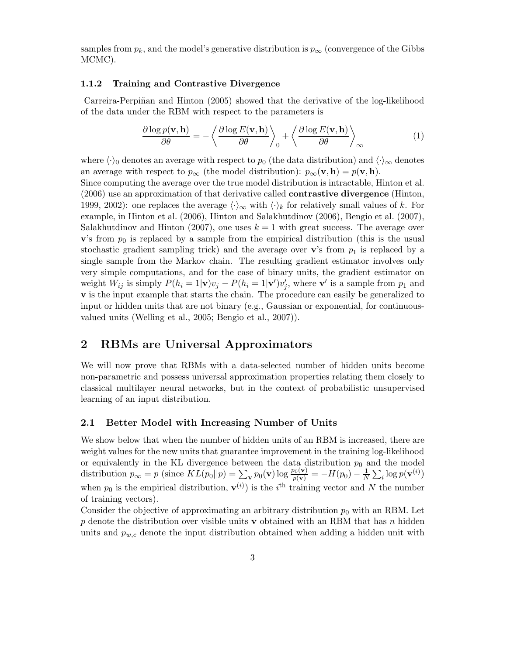samples from  $p_k$ , and the model's generative distribution is  $p_\infty$  (convergence of the Gibbs MCMC).

## 1.1.2 Training and Contrastive Divergence

Carreira-Perpiñan and Hinton (2005) showed that the derivative of the log-likelihood of the data under the RBM with respect to the parameters is

$$
\frac{\partial \log p(\mathbf{v}, \mathbf{h})}{\partial \theta} = -\left\langle \frac{\partial \log E(\mathbf{v}, \mathbf{h})}{\partial \theta} \right\rangle_0 + \left\langle \frac{\partial \log E(\mathbf{v}, \mathbf{h})}{\partial \theta} \right\rangle_{\infty} \tag{1}
$$

where  $\langle \cdot \rangle_0$  denotes an average with respect to  $p_0$  (the data distribution) and  $\langle \cdot \rangle_{\infty}$  denotes an average with respect to  $p_{\infty}$  (the model distribution):  $p_{\infty}(\mathbf{v}, \mathbf{h}) = p(\mathbf{v}, \mathbf{h})$ .

Since computing the average over the true model distribution is intractable, Hinton et al. (2006) use an approximation of that derivative called contrastive divergence (Hinton, 1999, 2002): one replaces the average  $\langle \cdot \rangle_{\infty}$  with  $\langle \cdot \rangle_k$  for relatively small values of k. For example, in Hinton et al. (2006), Hinton and Salakhutdinov (2006), Bengio et al. (2007), Salakhutdinov and Hinton (2007), one uses  $k = 1$  with great success. The average over  $\mathbf{v}$ 's from  $p_0$  is replaced by a sample from the empirical distribution (this is the usual stochastic gradient sampling trick) and the average over  $\mathbf{v}$ 's from  $p_1$  is replaced by a single sample from the Markov chain. The resulting gradient estimator involves only very simple computations, and for the case of binary units, the gradient estimator on weight  $W_{ij}$  is simply  $P(h_i = 1 | \mathbf{v}) v_j - P(h_i = 1 | \mathbf{v}') v_j'$ , where  $\mathbf{v}'$  is a sample from  $p_1$  and v is the input example that starts the chain. The procedure can easily be generalized to input or hidden units that are not binary (e.g., Gaussian or exponential, for continuousvalued units (Welling et al., 2005; Bengio et al., 2007)).

# 2 RBMs are Universal Approximators

We will now prove that RBMs with a data-selected number of hidden units become non-parametric and possess universal approximation properties relating them closely to classical multilayer neural networks, but in the context of probabilistic unsupervised learning of an input distribution.

## 2.1 Better Model with Increasing Number of Units

We show below that when the number of hidden units of an RBM is increased, there are weight values for the new units that guarantee improvement in the training log-likelihood or equivalently in the KL divergence between the data distribution  $p_0$  and the model distribution  $p_{\infty} = p$  (since  $KL(p_0||p) = \sum_{\mathbf{v}} p_0(\mathbf{v}) \log \frac{p_0(\mathbf{v})}{p(\mathbf{v})} = -H(p_0) - \frac{1}{N} \sum_i \log p(\mathbf{v}^{(i)})$ when  $p_0$  is the empirical distribution,  $\mathbf{v}^{(i)}$  is the i<sup>th</sup> training vector and N the number of training vectors).

Consider the objective of approximating an arbitrary distribution  $p_0$  with an RBM. Let p denote the distribution over visible units **v** obtained with an RBM that has n hidden units and  $p_{w,c}$  denote the input distribution obtained when adding a hidden unit with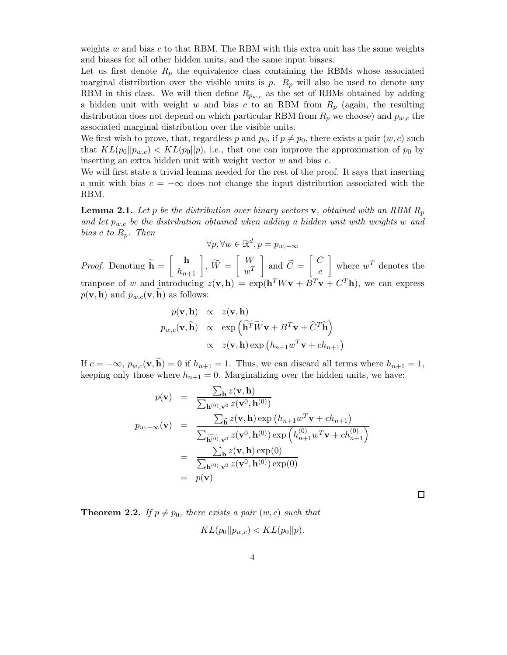weights  $w$  and bias  $c$  to that RBM. The RBM with this extra unit has the same weights and biases for all other hidden units, and the same input biases.

Let us first denote  $R_p$  the equivalence class containing the RBMs whose associated marginal distribution over the visible units is  $p$ .  $R_p$  will also be used to denote any RBM in this class. We will then define  $R_{p_{w,c}}$  as the set of RBMs obtained by adding a hidden unit with weight w and bias c to an RBM from  $R_p$  (again, the resulting distribution does not depend on which particular RBM from  $R_p$  we choose) and  $p_{w,c}$  the associated marginal distribution over the visible units.

We first wish to prove, that, regardless p and  $p_0$ , if  $p \neq p_0$ , there exists a pair  $(w, c)$  such that  $KL(p_0||p_{w,c}) < KL(p_0||p)$ , i.e., that one can improve the approximation of  $p_0$  by inserting an extra hidden unit with weight vector  $w$  and bias  $c$ .

We will first state a trivial lemma needed for the rest of the proof. It says that inserting a unit with bias  $c = -\infty$  does not change the input distribution associated with the RBM.

**Lemma 2.1.** Let p be the distribution over binary vectors **v**, obtained with an RBM  $R_p$ and let  $p_{w,c}$  be the distribution obtained when adding a hidden unit with weights w and bias c to  $R_p$ . Then

$$
\forall p, \forall w \in \mathbb{R}^d, p = p_{w, -\infty}
$$

*Proof.* Denoting  $h =$  $\left[ \begin{array}{c} \mathbf{h} \\ h_{n+1} \end{array} \right], \; \widetilde{W} \, = \,$  $\lceil W \rceil$  $w^T$ 1 and  $C =$  $\lceil C$ c 1 where  $w^T$  denotes the tranpose of w and introducing  $z(\mathbf{v}, \mathbf{h}) = \exp(\mathbf{h}^T W \mathbf{v} + B^T \mathbf{v} + C^T \mathbf{h})$ , we can express  $p(\mathbf{v}, \mathbf{h})$  and  $p_{w,c}(\mathbf{v}, \mathbf{h})$  as follows:

$$
p(\mathbf{v}, \mathbf{h}) \propto z(\mathbf{v}, \mathbf{h})
$$
  
\n
$$
p_{w,c}(\mathbf{v}, \widetilde{\mathbf{h}}) \propto \exp\left(\widetilde{\mathbf{h}^T} \widetilde{W} \mathbf{v} + B^T \mathbf{v} + \widetilde{C}^T \widetilde{\mathbf{h}}\right)
$$
  
\n
$$
\propto z(\mathbf{v}, \mathbf{h}) \exp\left(h_{n+1} w^T \mathbf{v} + ch_{n+1}\right)
$$

If  $c = -\infty$ ,  $p_{w,c}(\mathbf{v}, \widetilde{\mathbf{h}}) = 0$  if  $h_{n+1} = 1$ . Thus, we can discard all terms where  $h_{n+1} = 1$ , keeping only those where  $h_{n+1} = 0$ . Marginalizing over the hidden units, we have:

$$
p(\mathbf{v}) = \frac{\sum_{\mathbf{h}} z(\mathbf{v}, \mathbf{h})}{\sum_{\mathbf{h}^{(0)}, \mathbf{v}^{0}} z(\mathbf{v}^{0}, \mathbf{h}^{(0)})}
$$
  
\n
$$
p_{w,-\infty}(\mathbf{v}) = \frac{\sum_{\mathbf{\tilde{h}}}} z(\mathbf{v}, \mathbf{h}) \exp(h_{n+1}w^{T}\mathbf{v} + ch_{n+1})}{\sum_{\mathbf{\tilde{h}^{(0)}, \mathbf{v}^{0}}}} = \frac{\sum_{\mathbf{h}} z(\mathbf{v}, \mathbf{h}) \exp(0)}{\sum_{\mathbf{h}^{(0)}, \mathbf{v}^{0}} z(\mathbf{v}^{0}, \mathbf{h}^{(0)}) \exp(0)}
$$
  
\n
$$
= p(\mathbf{v})
$$

 $\Box$ 

**Theorem 2.2.** If  $p \neq p_0$ , there exists a pair  $(w, c)$  such that  $KL(p_0||p_{w,c}) < KL(p_0||p).$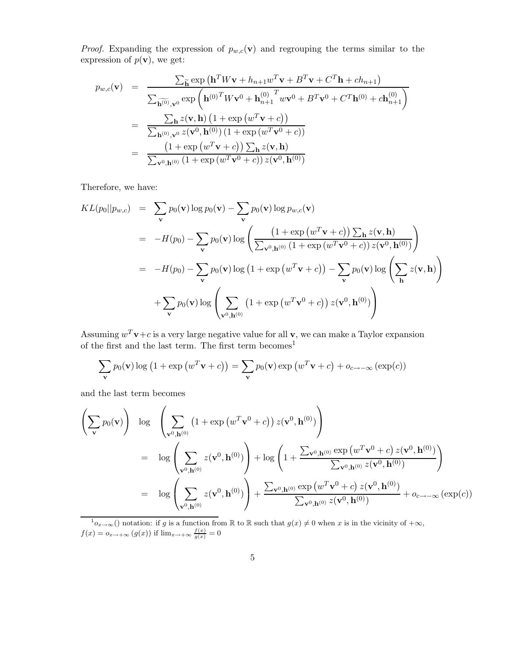*Proof.* Expanding the expression of  $p_{w,c}(v)$  and regrouping the terms similar to the expression of  $p(\mathbf{v})$ , we get:

$$
p_{w,c}(\mathbf{v}) = \frac{\sum_{\widetilde{\mathbf{h}}} \exp(\mathbf{h}^T W \mathbf{v} + h_{n+1} w^T \mathbf{v} + B^T \mathbf{v} + C^T \mathbf{h} + ch_{n+1})}{\sum_{\widetilde{\mathbf{h}}^{(0)},\mathbf{v}^0} \exp(\mathbf{h}^{(0)^T} W \mathbf{v}^0 + \mathbf{h}_{n+1}^{(0)^T} w \mathbf{v}^0 + B^T \mathbf{v}^0 + C^T \mathbf{h}^{(0)} + ch_{n+1}^{(0)})}
$$
\n
$$
= \frac{\sum_{\mathbf{h}} z(\mathbf{v}, \mathbf{h}) (1 + \exp(w^T \mathbf{v} + c))}{\sum_{\mathbf{h}^{(0)},\mathbf{v}^0} z(\mathbf{v}^0, \mathbf{h}^{(0)}) (1 + \exp(w^T \mathbf{v}^0 + c))}
$$
\n
$$
= \frac{(1 + \exp(w^T \mathbf{v} + c)) \sum_{\mathbf{h}} z(\mathbf{v}, \mathbf{h})}{\sum_{\mathbf{v}^0, \mathbf{h}^{(0)}} (1 + \exp(w^T \mathbf{v}^0 + c)) z(\mathbf{v}^0, \mathbf{h}^{(0)})}
$$

Therefore, we have:

$$
KL(p_0||p_{w,c}) = \sum_{\mathbf{v}} p_0(\mathbf{v}) \log p_0(\mathbf{v}) - \sum_{\mathbf{v}} p_0(\mathbf{v}) \log p_{w,c}(\mathbf{v})
$$
  
\n
$$
= -H(p_0) - \sum_{\mathbf{v}} p_0(\mathbf{v}) \log \left( \frac{\left(1 + \exp (w^T \mathbf{v} + c)\right) \sum_{\mathbf{h}} z(\mathbf{v}, \mathbf{h})}{\sum_{\mathbf{v}^0, \mathbf{h}^{(0)}} \left(1 + \exp (w^T \mathbf{v}^0 + c)\right) z(\mathbf{v}^0, \mathbf{h}^{(0)})}\right)
$$
  
\n
$$
= -H(p_0) - \sum_{\mathbf{v}} p_0(\mathbf{v}) \log \left(1 + \exp (w^T \mathbf{v} + c)\right) - \sum_{\mathbf{v}} p_0(\mathbf{v}) \log \left( \sum_{\mathbf{h}} z(\mathbf{v}, \mathbf{h})\right)
$$
  
\n
$$
+ \sum_{\mathbf{v}} p_0(\mathbf{v}) \log \left( \sum_{\mathbf{v}^0, \mathbf{h}^{(0)}} \left(1 + \exp (w^T \mathbf{v}^0 + c)\right) z(\mathbf{v}^0, \mathbf{h}^{(0)})\right)
$$

Assuming  $w^T \mathbf{v} + c$  is a very large negative value for all  $\mathbf{v}$ , we can make a Taylor expansion of the first and the last term. The first term becomes  $\!1$ 

$$
\sum_{\mathbf{v}} p_0(\mathbf{v}) \log (1 + \exp (w^T \mathbf{v} + c)) = \sum_{\mathbf{v}} p_0(\mathbf{v}) \exp (w^T \mathbf{v} + c) + o_{c \to -\infty} (\exp(c))
$$

and the last term becomes

$$
\left(\sum_{\mathbf{v}} p_0(\mathbf{v})\right) \log \left(\sum_{\mathbf{v}^0, \mathbf{h}^{(0)}} \left(1 + \exp\left(w^T \mathbf{v}^0 + c\right)\right) z(\mathbf{v}^0, \mathbf{h}^{(0)})\right)
$$
\n
$$
= \log \left(\sum_{\mathbf{v}^0, \mathbf{h}^{(0)}} z(\mathbf{v}^0, \mathbf{h}^{(0)})\right) + \log \left(1 + \frac{\sum_{\mathbf{v}^0, \mathbf{h}^{(0)}} \exp\left(w^T \mathbf{v}^0 + c\right) z(\mathbf{v}^0, \mathbf{h}^{(0)})}{\sum_{\mathbf{v}^0, \mathbf{h}^{(0)}} z(\mathbf{v}^0, \mathbf{h}^{(0)})}\right)
$$
\n
$$
= \log \left(\sum_{\mathbf{v}^0, \mathbf{h}^{(0)}} z(\mathbf{v}^0, \mathbf{h}^{(0)})\right) + \frac{\sum_{\mathbf{v}^0, \mathbf{h}^{(0)}} \exp\left(w^T \mathbf{v}^0 + c\right) z(\mathbf{v}^0, \mathbf{h}^{(0)})}{\sum_{\mathbf{v}^0, \mathbf{h}^{(0)}} z(\mathbf{v}^0, \mathbf{h}^{(0)})} + o_{c \to -\infty} \left(\exp(c)\right)
$$

 $\bigcirc_{x\to\infty}$  notation: if g is a function from R to R such that  $g(x)\neq 0$  when x is in the vicinity of  $+\infty$ ,  $f(x) = o_{x \to +\infty} (g(x))$  if  $\lim_{x \to +\infty} \frac{f(x)}{g(x)} = 0$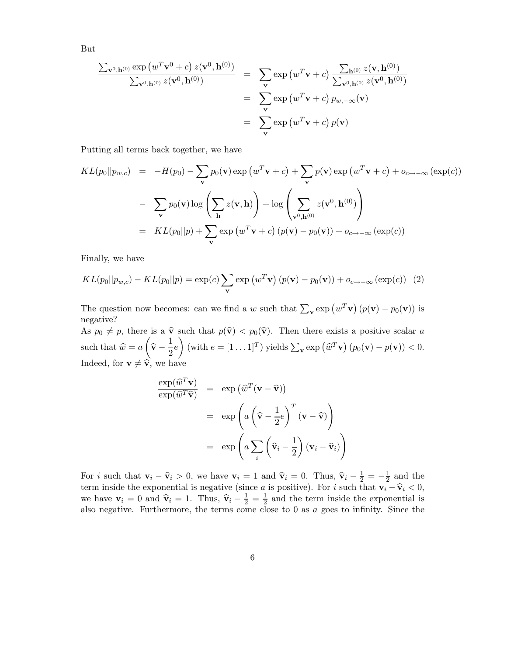But

$$
\frac{\sum_{\mathbf{v}^0, \mathbf{h}^{(0)}} \exp(w^T \mathbf{v}^0 + c) z(\mathbf{v}^0, \mathbf{h}^{(0)})}{\sum_{\mathbf{v}^0, \mathbf{h}^{(0)}} z(\mathbf{v}^0, \mathbf{h}^{(0)})} = \sum_{\mathbf{v}} \exp(w^T \mathbf{v} + c) \frac{\sum_{\mathbf{h}^{(0)}} z(\mathbf{v}, \mathbf{h}^{(0)})}{\sum_{\mathbf{v}^0, \mathbf{h}^{(0)}} z(\mathbf{v}^0, \mathbf{h}^{(0)})}
$$
  

$$
= \sum_{\mathbf{v}} \exp(w^T \mathbf{v} + c) p_{w, -\infty}(\mathbf{v})
$$
  

$$
= \sum_{\mathbf{v}} \exp(w^T \mathbf{v} + c) p(\mathbf{v})
$$

Putting all terms back together, we have

$$
KL(p_0||p_{w,c}) = -H(p_0) - \sum_{\mathbf{v}} p_0(\mathbf{v}) \exp(w^T \mathbf{v} + c) + \sum_{\mathbf{v}} p(\mathbf{v}) \exp(w^T \mathbf{v} + c) + o_{c \to -\infty} (\exp(c))
$$

$$
- \sum_{\mathbf{v}} p_0(\mathbf{v}) \log \left( \sum_{\mathbf{h}} z(\mathbf{v}, \mathbf{h}) \right) + \log \left( \sum_{\mathbf{v}^0, \mathbf{h}^{(0)}} z(\mathbf{v}^0, \mathbf{h}^{(0)}) \right)
$$

$$
= KL(p_0||p) + \sum_{\mathbf{v}} \exp(w^T \mathbf{v} + c) (p(\mathbf{v}) - p_0(\mathbf{v})) + o_{c \to -\infty} (\exp(c))
$$

Finally, we have

$$
KL(p_0||p_{w,c}) - KL(p_0||p) = \exp(c) \sum_{\mathbf{v}} \exp(w^T \mathbf{v}) (p(\mathbf{v}) - p_0(\mathbf{v})) + o_{c \to -\infty} (\exp(c)) \quad (2)
$$

The question now becomes: can we find a w such that  $\sum_{\mathbf{v}} \exp(w^T \mathbf{v}) (p(\mathbf{v}) - p_0(\mathbf{v}))$  is negative?

As  $p_0 \neq p$ , there is a  $\hat{\mathbf{v}}$  such that  $p(\hat{\mathbf{v}}) < p_0(\hat{\mathbf{v}})$ . Then there exists a positive scalar a such that  $\hat{w} = a$  $\sqrt{ }$  $\widehat{\textbf{v}} - \frac{1}{2}$  $\frac{1}{2}e$ (with  $e = [1 \dots 1]^T$ ) yields  $\sum_{\mathbf{v}} \exp(\widehat{w}^T \mathbf{v}) (p_0(\mathbf{v}) - p(\mathbf{v})) < 0$ . Indeed, for  $\mathbf{v} \neq \hat{\mathbf{v}}$ , we have

$$
\frac{\exp(\widehat{w}^T \mathbf{v})}{\exp(\widehat{w}^T \widehat{\mathbf{v}})} = \exp(\widehat{w}^T (\mathbf{v} - \widehat{\mathbf{v}}))
$$

$$
= \exp\left(a\left(\widehat{\mathbf{v}} - \frac{1}{2}e\right)^T (\mathbf{v} - \widehat{\mathbf{v}})\right)
$$

$$
= \exp\left(a\sum_{i} \left(\widehat{\mathbf{v}}_i - \frac{1}{2}\right) (\mathbf{v}_i - \widehat{\mathbf{v}}_i)\right)
$$

For *i* such that  $\mathbf{v}_i - \hat{\mathbf{v}}_i > 0$ , we have  $\mathbf{v}_i = 1$  and  $\hat{\mathbf{v}}_i = 0$ . Thus,  $\hat{\mathbf{v}}_i - \frac{1}{2} = -\frac{1}{2}$  $rac{1}{2}$  and the term inside the exponential is negative (since a is positive). For i such that  $v_i - \hat{v}_i < 0$ , we have  $\mathbf{v}_i = 0$  and  $\hat{\mathbf{v}}_i = 1$ . Thus,  $\hat{\mathbf{v}}_i - \frac{1}{2} = \frac{1}{2}$  $\frac{1}{2}$  and the term inside the exponential is also negative. Furthermore, the terms come close to 0 as a goes to infinity. Since the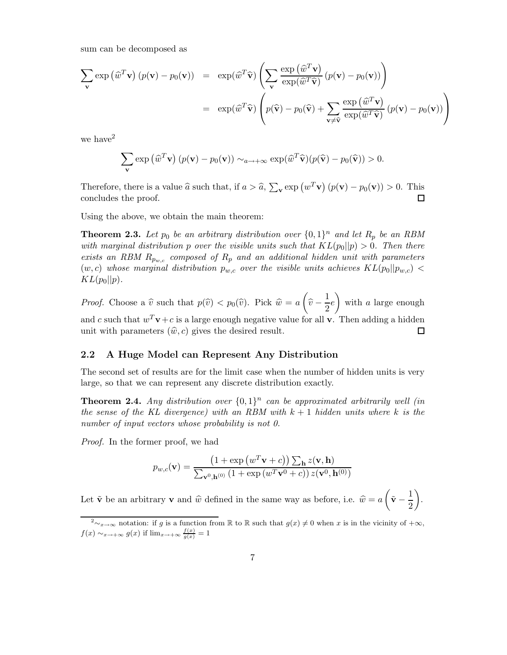sum can be decomposed as

$$
\sum_{\mathbf{v}} \exp(\widehat{w}^T \mathbf{v}) (p(\mathbf{v}) - p_0(\mathbf{v})) = \exp(\widehat{w}^T \widehat{\mathbf{v}}) \left( \sum_{\mathbf{v}} \frac{\exp(\widehat{w}^T \mathbf{v})}{\exp(\widehat{w}^T \widehat{\mathbf{v}})} (p(\mathbf{v}) - p_0(\mathbf{v})) \right)
$$
  
=  $\exp(\widehat{w}^T \widehat{\mathbf{v}}) \left( p(\widehat{\mathbf{v}}) - p_0(\widehat{\mathbf{v}}) + \sum_{\mathbf{v} \neq \widehat{\mathbf{v}}} \frac{\exp(\widehat{w}^T \mathbf{v})}{\exp(\widehat{w}^T \widehat{\mathbf{v}})} (p(\mathbf{v}) - p_0(\mathbf{v})) \right)$ 

we have<sup>2</sup>

$$
\sum_{\mathbf{v}} \exp(\widehat{w}^T \mathbf{v}) (p(\mathbf{v}) - p_0(\mathbf{v})) \sim_{a \to +\infty} \exp(\widehat{w}^T \widehat{\mathbf{v}}) (p(\widehat{\mathbf{v}}) - p_0(\widehat{\mathbf{v}})) > 0.
$$

Therefore, there is a value  $\hat{a}$  such that, if  $a > \hat{a}$ ,  $\sum_{\mathbf{v}} \exp(w^T \mathbf{v}) (p(\mathbf{v}) - p_0(\mathbf{v})) > 0$ . This concludes the proof. 口

Using the above, we obtain the main theorem:

**Theorem 2.3.** Let  $p_0$  be an arbitrary distribution over  $\{0,1\}^n$  and let  $R_p$  be an RBM with marginal distribution p over the visible units such that  $KL(p_0||p) > 0$ . Then there exists an RBM  $R_{p_{w,c}}$  composed of  $R_p$  and an additional hidden unit with parameters  $(w, c)$  whose marginal distribution  $p_{w, c}$  over the visible units achieves  $KL(p_0||p_{w, c})$  $KL(p_0||p).$ 

 $\sqrt{ }$  $\setminus$  $\widehat v-\frac{1}{2}$ *Proof.* Choose a  $\hat{v}$  such that  $p(\hat{v}) < p_0(\hat{v})$ . Pick  $\hat{w} = a$  $\frac{1}{2}e$ with a large enough and c such that  $w^T v + c$  is a large enough negative value for all v. Then adding a hidden unit with parameters  $(\hat{w}, c)$  gives the desired result.  $\Box$ 

# 2.2 A Huge Model can Represent Any Distribution

The second set of results are for the limit case when the number of hidden units is very large, so that we can represent any discrete distribution exactly.

**Theorem 2.4.** Any distribution over  $\{0,1\}^n$  can be approximated arbitrarily well (in the sense of the KL divergence) with an RBM with  $k+1$  hidden units where k is the number of input vectors whose probability is not 0.

Proof. In the former proof, we had

$$
p_{w,c}(\mathbf{v}) = \frac{\left(1 + \exp\left(w^T \mathbf{v} + c\right)\right) \sum_{\mathbf{h}} z(\mathbf{v}, \mathbf{h})}{\sum_{\mathbf{v}^0, \mathbf{h}^{(0)}} \left(1 + \exp\left(w^T \mathbf{v}^0 + c\right)\right) z(\mathbf{v}^0, \mathbf{h}^{(0)})}
$$

Let  $\tilde{\mathbf{v}}$  be an arbitrary **v** and  $\hat{w}$  defined in the same way as before, i.e.  $\hat{w} = a$  $\sqrt{2}$  $\tilde{\mathbf{v}} - \frac{1}{2}$ 2  $\overline{ }$ .

 $\sqrt{2\gamma_x\gamma_{\infty}}$  notation: if g is a function from R to R such that  $g(x) \neq 0$  when x is in the vicinity of  $+\infty$ ,  $f(x) \sim_{x \to +\infty} g(x)$  if  $\lim_{x \to +\infty} \frac{f(x)}{g(x)} = 1$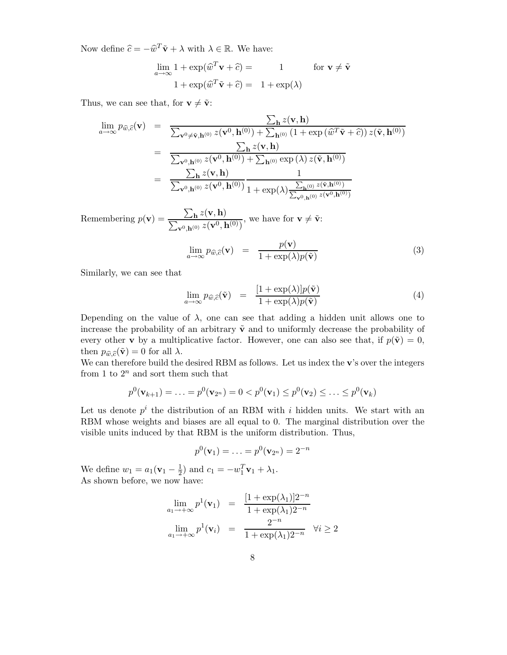Now define  $\hat{c} = -\hat{w}^T \tilde{\mathbf{v}} + \lambda$  with  $\lambda \in \mathbb{R}$ . We have:

$$
\lim_{a \to \infty} 1 + \exp(\widehat{w}^T \mathbf{v} + \widehat{c}) = 1 \quad \text{for } \mathbf{v} \neq \widetilde{\mathbf{v}}
$$

$$
1 + \exp(\widehat{w}^T \widetilde{\mathbf{v}} + \widehat{c}) = 1 + \exp(\lambda)
$$

Thus, we can see that, for  $\mathbf{v} \neq \tilde{\mathbf{v}}$ :

$$
\lim_{a \to \infty} p_{\widehat{w},\widehat{c}}(\mathbf{v}) = \frac{\sum_{\mathbf{h}} z(\mathbf{v}, \mathbf{h})}{\sum_{\mathbf{v}^0 \neq \tilde{\mathbf{v}}, \mathbf{h}^{(0)}} z(\mathbf{v}^0, \mathbf{h}^{(0)}) + \sum_{\mathbf{h}^{(0)}} (1 + \exp(\widehat{w}^T \tilde{\mathbf{v}} + \widehat{c})) z(\tilde{\mathbf{v}}, \mathbf{h}^{(0)})}
$$
\n
$$
= \frac{\sum_{\mathbf{h}} z(\mathbf{v}, \mathbf{h})}{\sum_{\mathbf{v}^0, \mathbf{h}^{(0)}} z(\mathbf{v}^0, \mathbf{h}^{(0)}) + \sum_{\mathbf{h}^{(0)}} \exp(\lambda) z(\tilde{\mathbf{v}}, \mathbf{h}^{(0)})}
$$
\n
$$
= \frac{\sum_{\mathbf{h}} z(\mathbf{v}, \mathbf{h})}{\sum_{\mathbf{v}^0, \mathbf{h}^{(0)}} z(\mathbf{v}^0, \mathbf{h}^{(0)})} \frac{1}{1 + \exp(\lambda) \frac{\sum_{\mathbf{h}^{(0)}} z(\tilde{\mathbf{v}}, \mathbf{h}^{(0)})}{\sum_{\mathbf{v}^0, \mathbf{h}^{(0)}} z(\mathbf{v}^0, \mathbf{h}^{(0)})}}
$$

Remembering  $p(\mathbf{v}) =$  $\sum_{\mathbf{h}} z(\mathbf{v}, \mathbf{h})$  $\frac{\sum_{\mathbf{h}} \lambda(\mathbf{v}, \mathbf{h})}{\sum_{\mathbf{v}^0, \mathbf{h}^{(0)}} z(\mathbf{v}^0, \mathbf{h}^{(0)})},$  we have for  $\mathbf{v} \neq \tilde{\mathbf{v}}$ :

$$
\lim_{a \to \infty} p_{\widehat{w}, \widehat{c}}(\mathbf{v}) = \frac{p(\mathbf{v})}{1 + \exp(\lambda)p(\widetilde{\mathbf{v}})}
$$
(3)

Similarly, we can see that

$$
\lim_{a \to \infty} p_{\widehat{w}, \widehat{c}}(\tilde{\mathbf{v}}) = \frac{[1 + \exp(\lambda)] p(\tilde{\mathbf{v}})}{1 + \exp(\lambda) p(\tilde{\mathbf{v}})}
$$
(4)

Depending on the value of  $\lambda$ , one can see that adding a hidden unit allows one to increase the probability of an arbitrary  $\tilde{\mathbf{v}}$  and to uniformly decrease the probability of every other **v** by a multiplicative factor. However, one can also see that, if  $p(\tilde{\mathbf{v}}) = 0$ , then  $p_{\hat{w}, \hat{c}}(\tilde{\mathbf{v}}) = 0$  for all  $\lambda$ .

We can therefore build the desired RBM as follows. Let us index the v's over the integers from 1 to  $2^n$  and sort them such that

$$
p^{0}(\mathbf{v}_{k+1}) = \ldots = p^{0}(\mathbf{v}_{2^{n}}) = 0 < p^{0}(\mathbf{v}_{1}) \leq p^{0}(\mathbf{v}_{2}) \leq \ldots \leq p^{0}(\mathbf{v}_{k})
$$

Let us denote  $p^i$  the distribution of an RBM with i hidden units. We start with an RBM whose weights and biases are all equal to 0. The marginal distribution over the visible units induced by that RBM is the uniform distribution. Thus,

$$
p^{0}(\mathbf{v}_{1}) = \ldots = p^{0}(\mathbf{v}_{2^{n}}) = 2^{-n}
$$

We define  $w_1 = a_1(\mathbf{v}_1 - \frac{1}{2})$  and  $c_1 = -w_1^T \mathbf{v}_1 + \lambda_1$ . As shown before, we now have:

$$
\lim_{a_1 \to +\infty} p^1(\mathbf{v}_1) = \frac{[1 + \exp(\lambda_1)]2^{-n}}{1 + \exp(\lambda_1)2^{-n}}
$$

$$
\lim_{a_1 \to +\infty} p^1(\mathbf{v}_i) = \frac{2^{-n}}{1 + \exp(\lambda_1)2^{-n}} \quad \forall i \ge 2
$$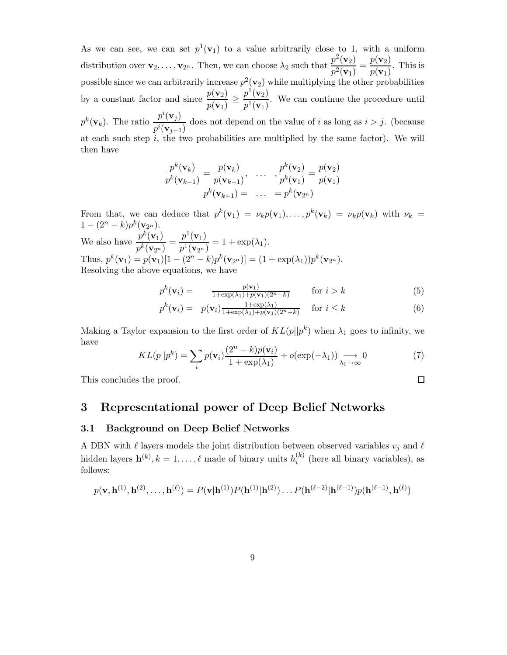As we can see, we can set  $p^1(\mathbf{v}_1)$  to a value arbitrarily close to 1, with a uniform distribution over  $\mathbf{v}_2, \ldots, \mathbf{v}_{2^n}$ . Then, we can choose  $\lambda_2$  such that  $\frac{p^2(\mathbf{v}_2)}{p^2(\mathbf{v}_1)}$  $\frac{p^2(\mathbf{v}_2)}{p^2(\mathbf{v}_1)} = \frac{p(\mathbf{v}_2)}{p(\mathbf{v}_1)}$  $\frac{p(\mathbf{v}_1)}{p(\mathbf{v}_1)}$ . This is possible since we can arbitrarily increase  $p^2(\mathbf{v}_2)$  while multiplying the other probabilities by a constant factor and since  $\frac{p(\mathbf{v}_2)}{p(\mathbf{v}_2)}$  $\frac{p(\mathbf{v}_2)}{p(\mathbf{v}_1)} \geq \frac{p^1(\mathbf{v}_2)}{p^1(\mathbf{v}_1)}$  $\frac{p(\mathbf{v}_2)}{p^1(\mathbf{v}_1)}$ . We can continue the procedure until  $p^k(\mathbf{v}_k)$ . The ratio  $\frac{p^i(\mathbf{v}_j)}{p^i(\mathbf{v}_j)}$  $\frac{p(x,y)}{p^i(\mathbf{v}_{j-1})}$  does not depend on the value of i as long as  $i > j$ . (because at each such step  $i$ , the two probabilities are multiplied by the same factor). We will then have

$$
\frac{p^k(\mathbf{v}_k)}{p^k(\mathbf{v}_{k-1})} = \frac{p(\mathbf{v}_k)}{p(\mathbf{v}_{k-1})}, \quad \dots \quad, \frac{p^k(\mathbf{v}_2)}{p^k(\mathbf{v}_1)} = \frac{p(\mathbf{v}_2)}{p(\mathbf{v}_1)}
$$

$$
p^k(\mathbf{v}_{k+1}) = \quad \dots \quad = p^k(\mathbf{v}_{2^n})
$$

From that, we can deduce that  $p^k(\mathbf{v}_1) = \nu_k p(\mathbf{v}_1), \ldots, p^k(\mathbf{v}_k) = \nu_k p(\mathbf{v}_k)$  with  $\nu_k =$  $1-(2^n-k)p^k(\mathbf{v}_{2^n}).$ We also have  $\frac{p^k(\mathbf{v}_1)}{k}$  $\frac{p^k(\mathbf{v}_1)}{p^k(\mathbf{v}_{2^n})} = \frac{p^1(\mathbf{v}_1)}{p^1(\mathbf{v}_{2^n})}$  $\frac{P(\mathbf{v}_1)}{P^1(\mathbf{v}_{2^n})} = 1 + \exp(\lambda_1).$ Thus,  $p^k(\mathbf{v}_1) = p(\mathbf{v}_1)[1 - (2^n - k)p^k(\mathbf{v}_{2^n})] = (1 + \exp(\lambda_1))p^k(\mathbf{v}_{2^n}).$ 

Resolving the above equations, we have

$$
p^{k}(\mathbf{v}_{i}) = \frac{p(\mathbf{v}_{1})}{1 + \exp(\lambda_{1}) + p(\mathbf{v}_{1})(2^{n} - k)} \quad \text{for } i > k
$$
\n
$$
(5)
$$

$$
p^{k}(\mathbf{v}_{i}) = p(\mathbf{v}_{i}) \frac{1 + \exp(\lambda_{1})}{1 + \exp(\lambda_{1}) + p(\mathbf{v}_{1})(2^{n} - k)} \quad \text{for } i \leq k
$$
\n
$$
(6)
$$

 $\Box$ 

Making a Taylor expansion to the first order of  $KL(p||p^k)$  when  $\lambda_1$  goes to infinity, we have

$$
KL(p||p^k) = \sum_{i} p(\mathbf{v}_i) \frac{(2^n - k)p(\mathbf{v}_i)}{1 + \exp(\lambda_1)} + o(\exp(-\lambda_1)) \underset{\lambda_1 \to \infty}{\longrightarrow} 0
$$
 (7)

This concludes the proof.

# 3 Representational power of Deep Belief Networks

## 3.1 Background on Deep Belief Networks

A DBN with  $\ell$  layers models the joint distribution between observed variables  $v_j$  and  $\ell$ hidden layers  $\mathbf{h}^{(k)}, k = 1, \ldots, \ell$  made of binary units  $h_i^{(k)}$  $i^{(k)}$  (here all binary variables), as follows:

$$
p(\mathbf{v}, \mathbf{h}^{(1)}, \mathbf{h}^{(2)}, \dots, \mathbf{h}^{(\ell)}) = P(\mathbf{v}|\mathbf{h}^{(1)})P(\mathbf{h}^{(1)}|\mathbf{h}^{(2)})\dots P(\mathbf{h}^{(\ell-2)}|\mathbf{h}^{(\ell-1)})p(\mathbf{h}^{(\ell-1)}, \mathbf{h}^{(\ell)})
$$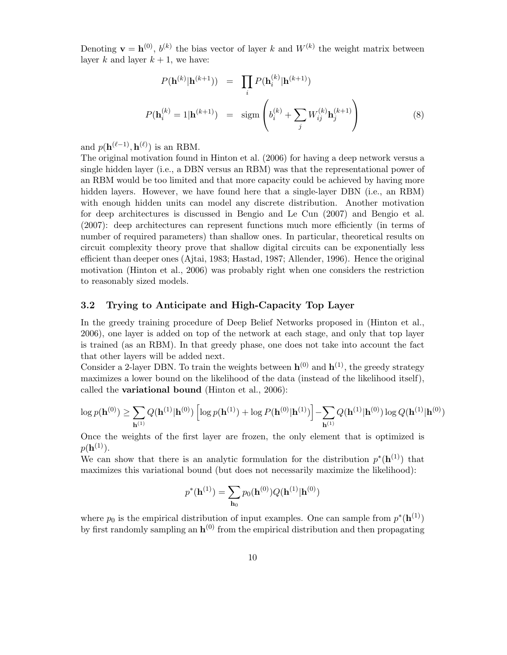Denoting  $\mathbf{v} = \mathbf{h}^{(0)}$ ,  $b^{(k)}$  the bias vector of layer k and  $W^{(k)}$  the weight matrix between layer k and layer  $k + 1$ , we have:

$$
P(\mathbf{h}^{(k)}|\mathbf{h}^{(k+1)}) = \prod_{i} P(\mathbf{h}^{(k)}_{i}|\mathbf{h}^{(k+1)})
$$

$$
P(\mathbf{h}^{(k)}_{i} = 1|\mathbf{h}^{(k+1)}) = \text{sigm}\left(b_i^{(k)} + \sum_{j} W_{ij}^{(k)} \mathbf{h}_{j}^{(k+1)}\right)
$$
(8)

and  $p(\mathbf{h}^{(\ell-1)}, \mathbf{h}^{(\ell)})$  is an RBM.

The original motivation found in Hinton et al. (2006) for having a deep network versus a single hidden layer (i.e., a DBN versus an RBM) was that the representational power of an RBM would be too limited and that more capacity could be achieved by having more hidden layers. However, we have found here that a single-layer DBN (i.e., an RBM) with enough hidden units can model any discrete distribution. Another motivation for deep architectures is discussed in Bengio and Le Cun (2007) and Bengio et al. (2007): deep architectures can represent functions much more efficiently (in terms of number of required parameters) than shallow ones. In particular, theoretical results on circuit complexity theory prove that shallow digital circuits can be exponentially less efficient than deeper ones (Ajtai, 1983; Hastad, 1987; Allender, 1996). Hence the original motivation (Hinton et al., 2006) was probably right when one considers the restriction to reasonably sized models.

## 3.2 Trying to Anticipate and High-Capacity Top Layer

In the greedy training procedure of Deep Belief Networks proposed in (Hinton et al., 2006), one layer is added on top of the network at each stage, and only that top layer is trained (as an RBM). In that greedy phase, one does not take into account the fact that other layers will be added next.

Consider a 2-layer DBN. To train the weights between  $\mathbf{h}^{(0)}$  and  $\mathbf{h}^{(1)}$ , the greedy strategy maximizes a lower bound on the likelihood of the data (instead of the likelihood itself), called the **variational bound** (Hinton et al.,  $2006$ ):

$$
\log p(\mathbf{h}^{(0)}) \ge \sum_{\mathbf{h}^{(1)}} Q(\mathbf{h}^{(1)} | \mathbf{h}^{(0)}) \left[ \log p(\mathbf{h}^{(1)}) + \log P(\mathbf{h}^{(0)} | \mathbf{h}^{(1)}) \right] - \sum_{\mathbf{h}^{(1)}} Q(\mathbf{h}^{(1)} | \mathbf{h}^{(0)}) \log Q(\mathbf{h}^{(1)} | \mathbf{h}^{(0)})
$$

Once the weights of the first layer are frozen, the only element that is optimized is  $p({\bf h}^{(1)})$ .

We can show that there is an analytic formulation for the distribution  $p^*(h^{(1)})$  that maximizes this variational bound (but does not necessarily maximize the likelihood):

$$
p^*(\mathbf{h}^{(1)}) = \sum_{\mathbf{h}_0} p_0(\mathbf{h}^{(0)}) Q(\mathbf{h}^{(1)} | \mathbf{h}^{(0)})
$$

where  $p_0$  is the empirical distribution of input examples. One can sample from  $p^*(h^{(1)})$ by first randomly sampling an  $h^{(0)}$  from the empirical distribution and then propagating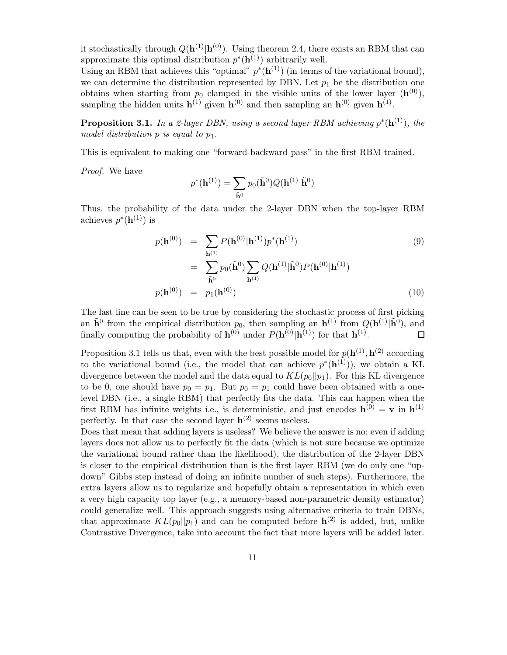it stochastically through  $Q(\mathbf{h}^{(1)}|\mathbf{h}^{(0)})$ . Using theorem 2.4, there exists an RBM that can approximate this optimal distribution  $p^*(h^{(1)})$  arbitrarily well.

Using an RBM that achieves this "optimal"  $p^*(h^{(1)})$  (in terms of the variational bound), we can determine the distribution represented by DBN. Let  $p_1$  be the distribution one obtains when starting from  $p_0$  clamped in the visible units of the lower layer  $(\mathbf{h}^{(0)})$ , sampling the hidden units  $\mathbf{h}^{(1)}$  given  $\mathbf{h}^{(0)}$  and then sampling an  $\mathbf{h}^{(0)}$  given  $\mathbf{h}^{(1)}$ .

**Proposition 3.1.** In a 2-layer DBN, using a second layer RBM achieving  $p^*(h^{(1)})$ , the model distribution  $p$  is equal to  $p_1$ .

This is equivalent to making one "forward-backward pass" in the first RBM trained.

Proof. We have

$$
p^*(\mathbf{h}^{(1)}) = \sum_{\tilde{\mathbf{h}}^0} p_0(\tilde{\mathbf{h}}^0) Q(\mathbf{h}^{(1)} | \tilde{\mathbf{h}}^0)
$$

Thus, the probability of the data under the 2-layer DBN when the top-layer RBM achieves  $p^*(\mathbf{h}^{(1)})$  is

$$
p(\mathbf{h}^{(0)}) = \sum_{\mathbf{h}^{(1)}} P(\mathbf{h}^{(0)} | \mathbf{h}^{(1)}) p^*(\mathbf{h}^{(1)})
$$
(9)  

$$
= \sum_{\tilde{\mathbf{h}}^0} p_0(\tilde{\mathbf{h}}^0) \sum_{\mathbf{h}^{(1)}} Q(\mathbf{h}^{(1)} | \tilde{\mathbf{h}}^0) P(\mathbf{h}^{(0)} | \mathbf{h}^{(1)})
$$
  

$$
p(\mathbf{h}^{(0)}) = p_1(\mathbf{h}^{(0)})
$$
(10)

The last line can be seen to be true by considering the stochastic process of first picking an  $\tilde{\mathbf{h}}^0$  from the empirical distribution  $p_0$ , then sampling an  $\mathbf{h}^{(1)}$  from  $Q(\mathbf{h}^{(1)}|\tilde{\mathbf{h}}^0)$ , and finally computing the probability of  $\mathbf{h}^{(0)}$  under  $P(\mathbf{h}^{(0)}|\mathbf{h}^{(1)})$  for that  $\mathbf{h}^{(1)}$ . □

Proposition 3.1 tells us that, even with the best possible model for  $p(\mathbf{h}^{(1)}, \mathbf{h}^{(2)})$  according to the variational bound (i.e., the model that can achieve  $p^*(h^{(1)})$ ), we obtain a KL divergence between the model and the data equal to  $KL(p_0||p_1)$ . For this KL divergence to be 0, one should have  $p_0 = p_1$ . But  $p_0 = p_1$  could have been obtained with a onelevel DBN (i.e., a single RBM) that perfectly fits the data. This can happen when the first RBM has infinite weights i.e., is deterministic, and just encodes  $\mathbf{h}^{(0)} = \mathbf{v}$  in  $\mathbf{h}^{(1)}$ perfectly. In that case the second layer  $h^{(2)}$  seems useless.

Does that mean that adding layers is useless? We believe the answer is no; even if adding layers does not allow us to perfectly fit the data (which is not sure because we optimize the variational bound rather than the likelihood), the distribution of the 2-layer DBN is closer to the empirical distribution than is the first layer RBM (we do only one "updown" Gibbs step instead of doing an infinite number of such steps). Furthermore, the extra layers allow us to regularize and hopefully obtain a representation in which even a very high capacity top layer (e.g., a memory-based non-parametric density estimator) could generalize well. This approach suggests using alternative criteria to train DBNs, that approximate  $KL(p_0||p_1)$  and can be computed before  $\mathbf{h}^{(2)}$  is added, but, unlike Contrastive Divergence, take into account the fact that more layers will be added later.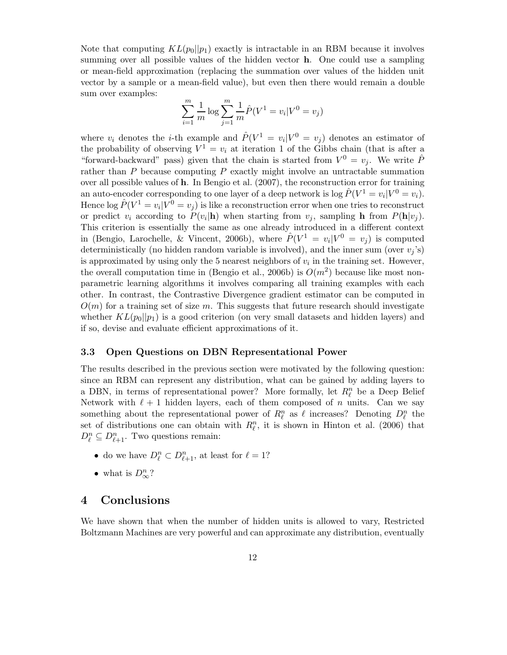Note that computing  $KL(p_0||p_1)$  exactly is intractable in an RBM because it involves summing over all possible values of the hidden vector h. One could use a sampling or mean-field approximation (replacing the summation over values of the hidden unit vector by a sample or a mean-field value), but even then there would remain a double sum over examples:

$$
\sum_{i=1}^{m} \frac{1}{m} \log \sum_{j=1}^{m} \frac{1}{m} \hat{P}(V^{1} = v_{i} | V^{0} = v_{j})
$$

where  $v_i$  denotes the *i*-th example and  $\hat{P}(V^1 = v_i | V^0 = v_j)$  denotes an estimator of the probability of observing  $V^1 = v_i$  at iteration 1 of the Gibbs chain (that is after a "forward-backward" pass) given that the chain is started from  $V^0 = v_j$ . We write  $\hat{P}$ rather than  $P$  because computing  $P$  exactly might involve an untractable summation over all possible values of h. In Bengio et al. (2007), the reconstruction error for training an auto-encoder corresponding to one layer of a deep network is  $\log \hat{P}(V^1 = v_i | V^0 = v_i)$ . Hence  $\log \hat{P}(V^1 = v_i | V^0 = v_j)$  is like a reconstruction error when one tries to reconstruct or predict  $v_i$  according to  $P(v_i|\mathbf{h})$  when starting from  $v_j$ , sampling h from  $P(\mathbf{h}|v_j)$ . This criterion is essentially the same as one already introduced in a different context in (Bengio, Larochelle, & Vincent, 2006b), where  $\hat{P}(V^1 = v_i | V^0 = v_j)$  is computed deterministically (no hidden random variable is involved), and the inner sum (over  $v_j$ 's) is approximated by using only the 5 nearest neighbors of  $v_i$  in the training set. However, the overall computation time in (Bengio et al., 2006b) is  $O(m^2)$  because like most nonparametric learning algorithms it involves comparing all training examples with each other. In contrast, the Contrastive Divergence gradient estimator can be computed in  $O(m)$  for a training set of size m. This suggests that future research should investigate whether  $KL(p_0||p_1)$  is a good criterion (on very small datasets and hidden layers) and if so, devise and evaluate efficient approximations of it.

# 3.3 Open Questions on DBN Representational Power

The results described in the previous section were motivated by the following question: since an RBM can represent any distribution, what can be gained by adding layers to a DBN, in terms of representational power? More formally, let  $R_\ell^n$  be a Deep Belief Network with  $\ell + 1$  hidden layers, each of them composed of n units. Can we say something about the representational power of  $R_\ell^n$  as  $\ell$  increases? Denoting  $D_\ell^n$  the set of distributions one can obtain with  $R_{\ell}^n$ , it is shown in Hinton et al. (2006) that  $D_{\ell}^n \subseteq D_{\ell+1}^n$ . Two questions remain:

- do we have  $D_{\ell}^n \subset D_{\ell+1}^n$ , at least for  $\ell = 1$ ?
- what is  $D^n_{\infty}$ ?

# 4 Conclusions

We have shown that when the number of hidden units is allowed to vary, Restricted Boltzmann Machines are very powerful and can approximate any distribution, eventually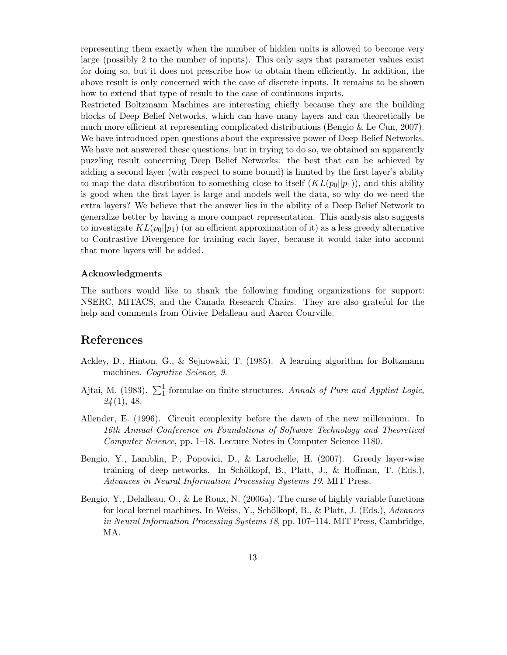representing them exactly when the number of hidden units is allowed to become very large (possibly 2 to the number of inputs). This only says that parameter values exist for doing so, but it does not prescribe how to obtain them efficiently. In addition, the above result is only concerned with the case of discrete inputs. It remains to be shown how to extend that type of result to the case of continuous inputs.

Restricted Boltzmann Machines are interesting chiefly because they are the building blocks of Deep Belief Networks, which can have many layers and can theoretically be much more efficient at representing complicated distributions (Bengio & Le Cun, 2007). We have introduced open questions about the expressive power of Deep Belief Networks. We have not answered these questions, but in trying to do so, we obtained an apparently puzzling result concerning Deep Belief Networks: the best that can be achieved by adding a second layer (with respect to some bound) is limited by the first layer's ability to map the data distribution to something close to itself  $(KL(p_0||p_1))$ , and this ability is good when the first layer is large and models well the data, so why do we need the extra layers? We believe that the answer lies in the ability of a Deep Belief Network to generalize better by having a more compact representation. This analysis also suggests to investigate  $KL(p_0||p_1)$  (or an efficient approximation of it) as a less greedy alternative to Contrastive Divergence for training each layer, because it would take into account that more layers will be added.

## Acknowledgments

The authors would like to thank the following funding organizations for support: NSERC, MITACS, and the Canada Research Chairs. They are also grateful for the help and comments from Olivier Delalleau and Aaron Courville.

# References

- Ackley, D., Hinton, G., & Sejnowski, T. (1985). A learning algorithm for Boltzmann machines. Cognitive Science, 9.
- Ajtai, M. (1983).  $\sum_{1}^{1}$ -formulae on finite structures. Annals of Pure and Applied Logic,  $24(1)$ , 48.
- Allender, E. (1996). Circuit complexity before the dawn of the new millennium. In 16th Annual Conference on Foundations of Software Technology and Theoretical Computer Science, pp. 1–18. Lecture Notes in Computer Science 1180.
- Bengio, Y., Lamblin, P., Popovici, D., & Larochelle, H. (2007). Greedy layer-wise training of deep networks. In Schölkopf, B., Platt, J., & Hoffman, T. (Eds.), Advances in Neural Information Processing Systems 19. MIT Press.
- Bengio, Y., Delalleau, O., & Le Roux, N. (2006a). The curse of highly variable functions for local kernel machines. In Weiss, Y., Schölkopf, B., & Platt, J. (Eds.),  $Advances$ in Neural Information Processing Systems 18, pp. 107–114. MIT Press, Cambridge, MA.